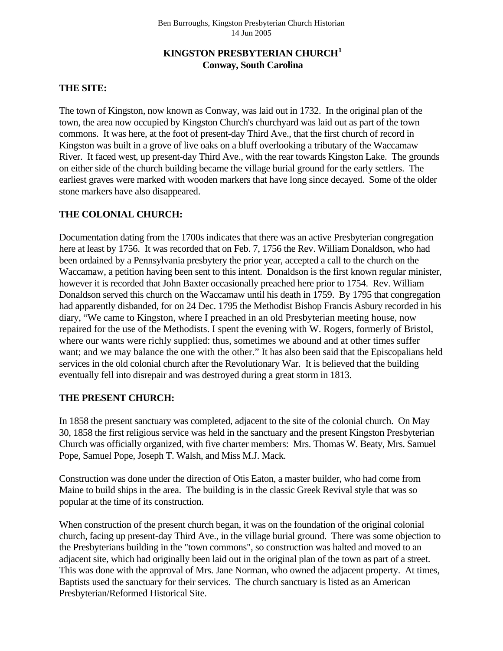# **KINGSTON PRESBYTERIAN CHURCH[1](#page-3-0) Conway, South Carolina**

## **THE SITE:**

The town of Kingston, now known as Conway, was laid out in 1732. In the original plan of the town, the area now occupied by Kingston Church's churchyard was laid out as part of the town commons. It was here, at the foot of present-day Third Ave., that the first church of record in Kingston was built in a grove of live oaks on a bluff overlooking a tributary of the Waccamaw River. It faced west, up present-day Third Ave., with the rear towards Kingston Lake. The grounds on either side of the church building became the village burial ground for the early settlers. The earliest graves were marked with wooden markers that have long since decayed. Some of the older stone markers have also disappeared.

## **THE COLONIAL CHURCH:**

Documentation dating from the 1700s indicates that there was an active Presbyterian congregation here at least by 1756. It was recorded that on Feb. 7, 1756 the Rev. William Donaldson, who had been ordained by a Pennsylvania presbytery the prior year, accepted a call to the church on the Waccamaw, a petition having been sent to this intent. Donaldson is the first known regular minister, however it is recorded that John Baxter occasionally preached here prior to 1754. Rev. William Donaldson served this church on the Waccamaw until his death in 1759. By 1795 that congregation had apparently disbanded, for on 24 Dec. 1795 the Methodist Bishop Francis Asbury recorded in his diary, "We came to Kingston, where I preached in an old Presbyterian meeting house, now repaired for the use of the Methodists. I spent the evening with W. Rogers, formerly of Bristol, where our wants were richly supplied: thus, sometimes we abound and at other times suffer want; and we may balance the one with the other." It has also been said that the Episcopalians held services in the old colonial church after the Revolutionary War. It is believed that the building eventually fell into disrepair and was destroyed during a great storm in 1813.

### **THE PRESENT CHURCH:**

In 1858 the present sanctuary was completed, adjacent to the site of the colonial church. On May 30, 1858 the first religious service was held in the sanctuary and the present Kingston Presbyterian Church was officially organized, with five charter members: Mrs. Thomas W. Beaty, Mrs. Samuel Pope, Samuel Pope, Joseph T. Walsh, and Miss M.J. Mack.

Construction was done under the direction of Otis Eaton, a master builder, who had come from Maine to build ships in the area. The building is in the classic Greek Revival style that was so popular at the time of its construction.

When construction of the present church began, it was on the foundation of the original colonial church, facing up present-day Third Ave., in the village burial ground. There was some objection to the Presbyterians building in the "town commons", so construction was halted and moved to an adjacent site, which had originally been laid out in the original plan of the town as part of a street. This was done with the approval of Mrs. Jane Norman, who owned the adjacent property. At times, Baptists used the sanctuary for their services. The church sanctuary is listed as an American Presbyterian/Reformed Historical Site.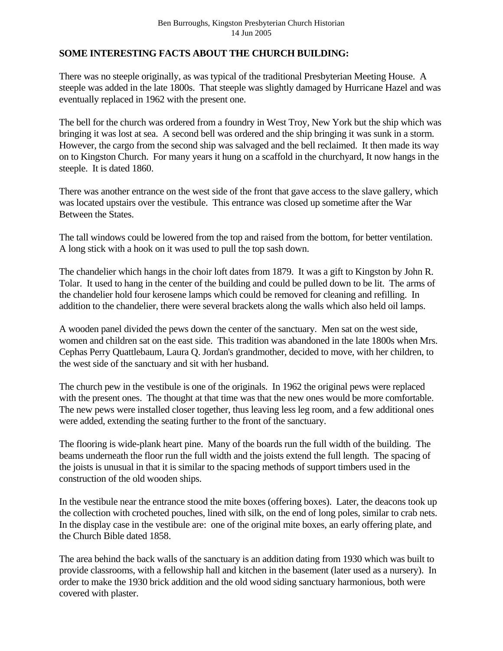## **SOME INTERESTING FACTS ABOUT THE CHURCH BUILDING:**

There was no steeple originally, as was typical of the traditional Presbyterian Meeting House. A steeple was added in the late 1800s. That steeple was slightly damaged by Hurricane Hazel and was eventually replaced in 1962 with the present one.

The bell for the church was ordered from a foundry in West Troy, New York but the ship which was bringing it was lost at sea. A second bell was ordered and the ship bringing it was sunk in a storm. However, the cargo from the second ship was salvaged and the bell reclaimed. It then made its way on to Kingston Church. For many years it hung on a scaffold in the churchyard, It now hangs in the steeple. It is dated 1860.

There was another entrance on the west side of the front that gave access to the slave gallery, which was located upstairs over the vestibule. This entrance was closed up sometime after the War Between the States.

The tall windows could be lowered from the top and raised from the bottom, for better ventilation. A long stick with a hook on it was used to pull the top sash down.

The chandelier which hangs in the choir loft dates from 1879. It was a gift to Kingston by John R. Tolar. It used to hang in the center of the building and could be pulled down to be lit. The arms of the chandelier hold four kerosene lamps which could be removed for cleaning and refilling. In addition to the chandelier, there were several brackets along the walls which also held oil lamps.

A wooden panel divided the pews down the center of the sanctuary. Men sat on the west side, women and children sat on the east side. This tradition was abandoned in the late 1800s when Mrs. Cephas Perry Quattlebaum, Laura Q. Jordan's grandmother, decided to move, with her children, to the west side of the sanctuary and sit with her husband.

The church pew in the vestibule is one of the originals. In 1962 the original pews were replaced with the present ones. The thought at that time was that the new ones would be more comfortable. The new pews were installed closer together, thus leaving less leg room, and a few additional ones were added, extending the seating further to the front of the sanctuary.

The flooring is wide-plank heart pine. Many of the boards run the full width of the building. The beams underneath the floor run the full width and the joists extend the full length. The spacing of the joists is unusual in that it is similar to the spacing methods of support timbers used in the construction of the old wooden ships.

In the vestibule near the entrance stood the mite boxes (offering boxes). Later, the deacons took up the collection with crocheted pouches, lined with silk, on the end of long poles, similar to crab nets. In the display case in the vestibule are: one of the original mite boxes, an early offering plate, and the Church Bible dated 1858.

The area behind the back walls of the sanctuary is an addition dating from 1930 which was built to provide classrooms, with a fellowship hall and kitchen in the basement (later used as a nursery). In order to make the 1930 brick addition and the old wood siding sanctuary harmonious, both were covered with plaster.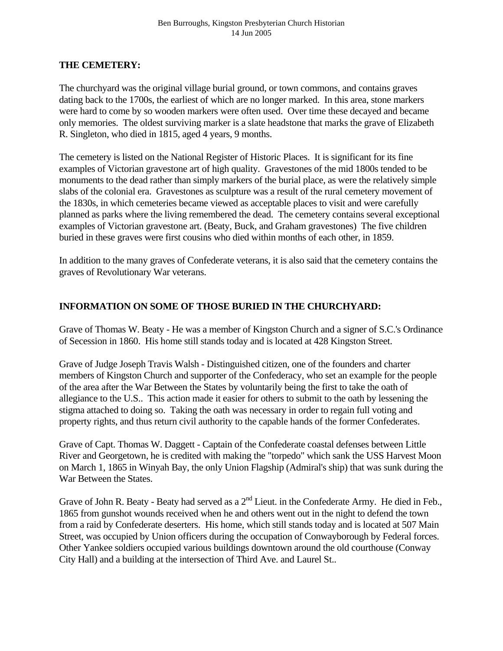### **THE CEMETERY:**

The churchyard was the original village burial ground, or town commons, and contains graves dating back to the 1700s, the earliest of which are no longer marked. In this area, stone markers were hard to come by so wooden markers were often used. Over time these decayed and became only memories. The oldest surviving marker is a slate headstone that marks the grave of Elizabeth R. Singleton, who died in 1815, aged 4 years, 9 months.

The cemetery is listed on the National Register of Historic Places. It is significant for its fine examples of Victorian gravestone art of high quality. Gravestones of the mid 1800s tended to be monuments to the dead rather than simply markers of the burial place, as were the relatively simple slabs of the colonial era. Gravestones as sculpture was a result of the rural cemetery movement of the 1830s, in which cemeteries became viewed as acceptable places to visit and were carefully planned as parks where the living remembered the dead. The cemetery contains several exceptional examples of Victorian gravestone art. (Beaty, Buck, and Graham gravestones) The five children buried in these graves were first cousins who died within months of each other, in 1859.

In addition to the many graves of Confederate veterans, it is also said that the cemetery contains the graves of Revolutionary War veterans.

# **INFORMATION ON SOME OF THOSE BURIED IN THE CHURCHYARD:**

Grave of Thomas W. Beaty - He was a member of Kingston Church and a signer of S.C.'s Ordinance of Secession in 1860. His home still stands today and is located at 428 Kingston Street.

Grave of Judge Joseph Travis Walsh - Distinguished citizen, one of the founders and charter members of Kingston Church and supporter of the Confederacy, who set an example for the people of the area after the War Between the States by voluntarily being the first to take the oath of allegiance to the U.S.. This action made it easier for others to submit to the oath by lessening the stigma attached to doing so. Taking the oath was necessary in order to regain full voting and property rights, and thus return civil authority to the capable hands of the former Confederates.

Grave of Capt. Thomas W. Daggett - Captain of the Confederate coastal defenses between Little River and Georgetown, he is credited with making the "torpedo" which sank the USS Harvest Moon on March 1, 1865 in Winyah Bay, the only Union Flagship (Admiral's ship) that was sunk during the War Between the States.

Grave of John R. Beaty - Beaty had served as a  $2<sup>nd</sup>$  Lieut. in the Confederate Army. He died in Feb., 1865 from gunshot wounds received when he and others went out in the night to defend the town from a raid by Confederate deserters. His home, which still stands today and is located at 507 Main Street, was occupied by Union officers during the occupation of Conwayborough by Federal forces. Other Yankee soldiers occupied various buildings downtown around the old courthouse (Conway City Hall) and a building at the intersection of Third Ave. and Laurel St..